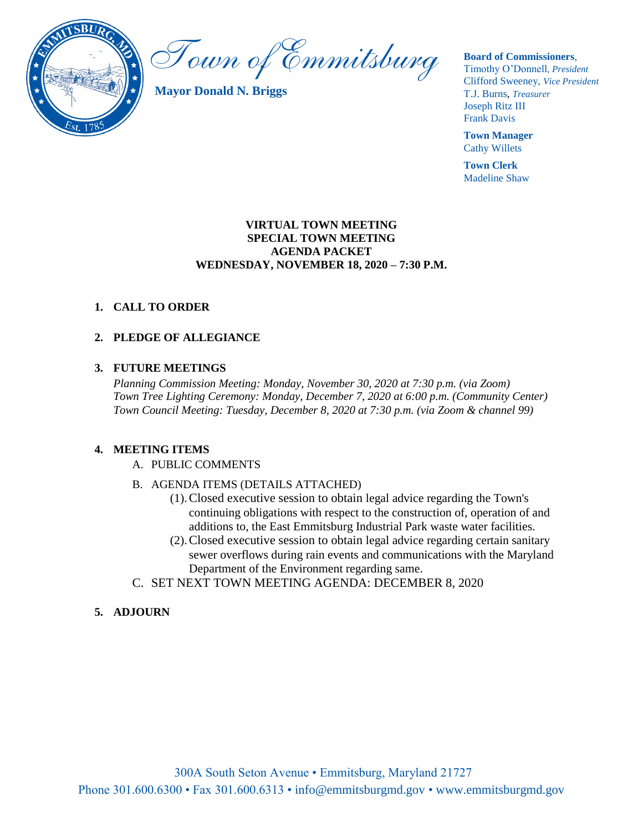

Town of Emmitsburg

**Mayor Donald N. Briggs**

**Board of Commissioners**,

Timothy O'Donnell*, President*  Clifford Sweeney, *Vice President* T.J. Burns, *Treasurer*  Joseph Ritz III Frank Davis

**Town Manager** Cathy Willets

**Town Clerk** Madeline Shaw

### **VIRTUAL TOWN MEETING SPECIAL TOWN MEETING AGENDA PACKET WEDNESDAY, NOVEMBER 18, 2020 – 7:30 P.M.**

## **1. CALL TO ORDER**

## **2. PLEDGE OF ALLEGIANCE**

#### **3. FUTURE MEETINGS**

*Planning Commission Meeting: Monday, November 30, 2020 at 7:30 p.m. (via Zoom) Town Tree Lighting Ceremony: Monday, December 7, 2020 at 6:00 p.m. (Community Center) Town Council Meeting: Tuesday, December 8, 2020 at 7:30 p.m. (via Zoom & channel 99)*

### **4. MEETING ITEMS**

- A. PUBLIC COMMENTS
- B. AGENDA ITEMS (DETAILS ATTACHED)
	- (1).Closed executive session to obtain legal advice regarding the Town's continuing obligations with respect to the construction of, operation of and additions to, the East Emmitsburg Industrial Park waste water facilities.
	- (2).Closed executive session to obtain legal advice regarding certain sanitary sewer overflows during rain events and communications with the Maryland Department of the Environment regarding same.
- C. SET NEXT TOWN MEETING AGENDA: DECEMBER 8, 2020

### **5. ADJOURN**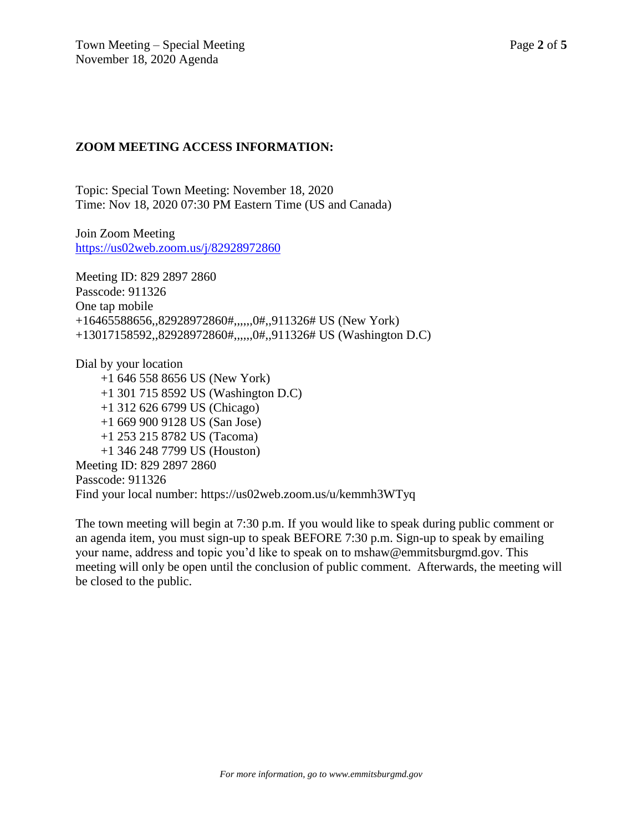## **ZOOM MEETING ACCESS INFORMATION:**

Topic: Special Town Meeting: November 18, 2020 Time: Nov 18, 2020 07:30 PM Eastern Time (US and Canada)

Join Zoom Meeting <https://us02web.zoom.us/j/82928972860>

Meeting ID: 829 2897 2860 Passcode: 911326 One tap mobile +16465588656,,82928972860#,,,,,,0#,,911326# US (New York) +13017158592,,82928972860#,,,,,,0#,,911326# US (Washington D.C)

Dial by your location +1 646 558 8656 US (New York) +1 301 715 8592 US (Washington D.C) +1 312 626 6799 US (Chicago) +1 669 900 9128 US (San Jose) +1 253 215 8782 US (Tacoma) +1 346 248 7799 US (Houston) Meeting ID: 829 2897 2860 Passcode: 911326 Find your local number: https://us02web.zoom.us/u/kemmh3WTyq

The town meeting will begin at 7:30 p.m. If you would like to speak during public comment or an agenda item, you must sign-up to speak BEFORE 7:30 p.m. Sign-up to speak by emailing your name, address and topic you'd like to speak on to mshaw@emmitsburgmd.gov. This meeting will only be open until the conclusion of public comment. Afterwards, the meeting will be closed to the public.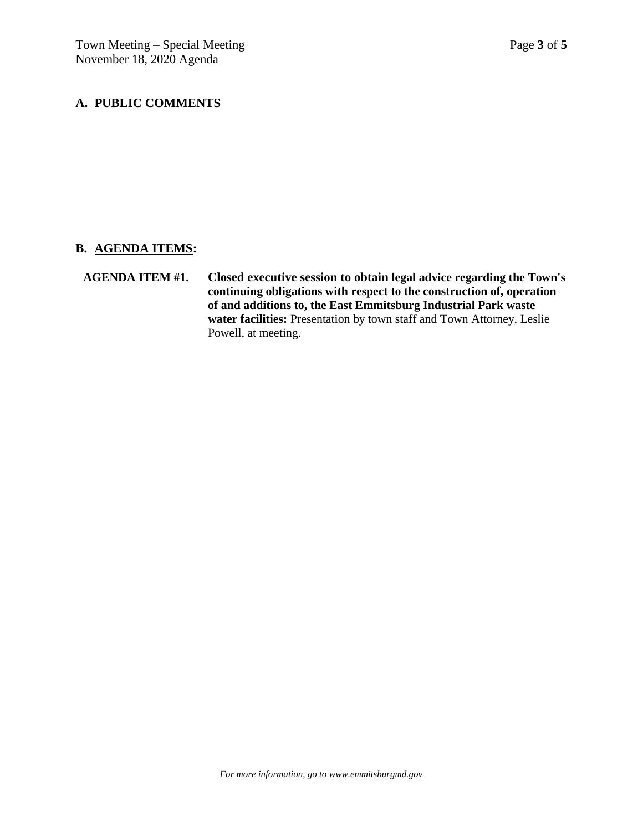## **A. PUBLIC COMMENTS**

## **B. AGENDA ITEMS:**

**AGENDA ITEM #1. Closed executive session to obtain legal advice regarding the Town's continuing obligations with respect to the construction of, operation of and additions to, the East Emmitsburg Industrial Park waste water facilities:** Presentation by town staff and Town Attorney, Leslie Powell, at meeting.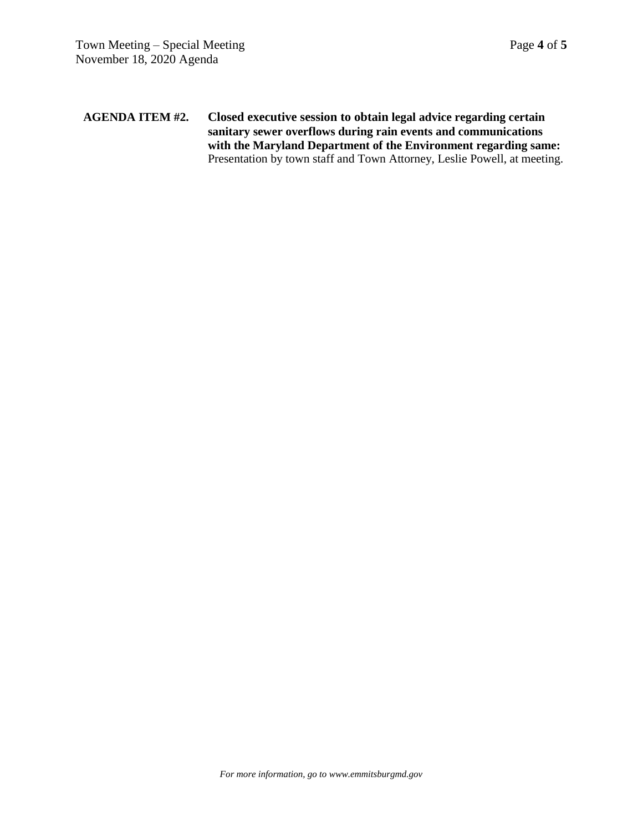### **AGENDA ITEM #2. Closed executive session to obtain legal advice regarding certain sanitary sewer overflows during rain events and communications with the Maryland Department of the Environment regarding same:** Presentation by town staff and Town Attorney, Leslie Powell, at meeting.